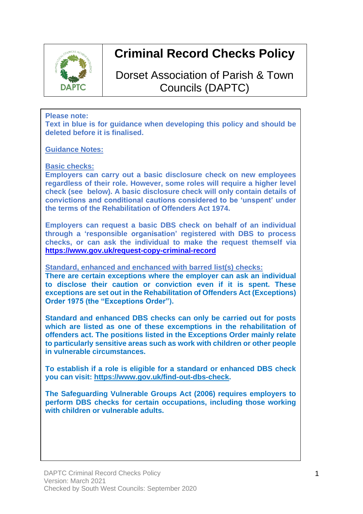

# **Criminal Record Checks Policy**

Dorset Association of Parish & Town Councils (DAPTC)

### **Please note:**

**Text in blue is for guidance when developing this policy and should be deleted before it is finalised.** 

**Guidance Notes:**

**Basic checks:**

**Employers can carry out a basic disclosure check on new employees regardless of their role. However, some roles will require a higher level check (see below). A basic disclosure check will only contain details of convictions and conditional cautions considered to be 'unspent' under the terms of the [Rehabilitation](https://www.legislation.gov.uk/ukpga/1974/53) of Offenders Act 1974.**

**Employers can request a basic DBS check on behalf of an individual through a 'responsible [organisation'](https://www.gov.uk/guidance/responsible-organisations) registered with DBS to process checks, or can ask the individual to make the request themself via <https://www.gov.uk/request-copy-criminal-record>**

**Standard, enhanced and enchanced with barred list(s) checks:**

**There are certain exceptions where the employer can ask an individual to disclose their caution or conviction even if it is spent. These exceptions are set out in the Rehabilitation of Offenders Act (Exceptions) Order 1975 (the "Exceptions Order").** 

**Standard and enhanced DBS checks can only be carried out for posts which are listed as one of these excemptions in the rehabilitation of offenders act. The positions listed in the Exceptions Order mainly relate to particularly sensitive areas such as work with children or other people in vulnerable circumstances.** 

**To establish if a role is eligible for a standard or enhanced DBS check you can visit: [https://www.gov.uk/find-out-dbs-check.](https://www.gov.uk/find-out-dbs-check)** 

**The Safeguarding Vulnerable Groups Act (2006) requires employers to perform DBS checks for certain occupations, including those working with children or vulnerable adults.**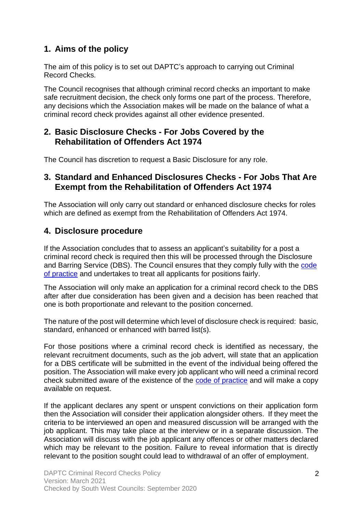# **1. Aims of the policy**

The aim of this policy is to set out DAPTC's approach to carrying out Criminal Record Checks.

The Council recognises that although criminal record checks an important to make safe recruitment decision, the check only forms one part of the process. Therefore, any decisions which the Association makes will be made on the balance of what a criminal record check provides against all other evidence presented.

## **2. Basic Disclosure Checks - For Jobs Covered by the Rehabilitation of Offenders Act 1974**

The Council has discretion to request a Basic Disclosure for any role.

## **3. Standard and Enhanced Disclosures Checks - For Jobs That Are Exempt from the Rehabilitation of Offenders Act 1974**

The Association will only carry out standard or enhanced disclosure checks for roles which are defined as exempt from the Rehabilitation of Offenders Act 1974.

# **4. Disclosure procedure**

If the Association concludes that to assess an applicant's suitability for a post a criminal record check is required then this will be processed through the Disclosure and Barring Service (DBS). The Council ensures that they comply fully with the [code](https://www.gov.uk/government/publications/dbs-code-of-practice)  [of practice](https://www.gov.uk/government/publications/dbs-code-of-practice) and undertakes to treat all applicants for positions fairly.

The Association will only make an application for a criminal record check to the DBS after after due consideration has been given and a decision has been reached that one is both proportionate and relevant to the position concerned.

The nature of the post will determine which level of disclosure check is required: basic, standard, enhanced or enhanced with barred list(s).

For those positions where a criminal record check is identified as necessary, the relevant recruitment documents, such as the job advert, will state that an application for a DBS certificate will be submitted in the event of the individual being offered the position. The Association will make every job applicant who will need a criminal record check submitted aware of the existence of the [code of practice](https://www.gov.uk/government/publications/dbs-code-of-practice) and will make a copy available on request.

If the applicant declares any spent or unspent convictions on their application form then the Association will consider their application alongsider others. If they meet the criteria to be interviewed an open and measured discussion will be arranged with the job applicant. This may take place at the interview or in a separate discussion. The Association will discuss with the job applicant any offences or other matters declared which may be relevant to the position. Failure to reveal information that is directly relevant to the position sought could lead to withdrawal of an offer of employment.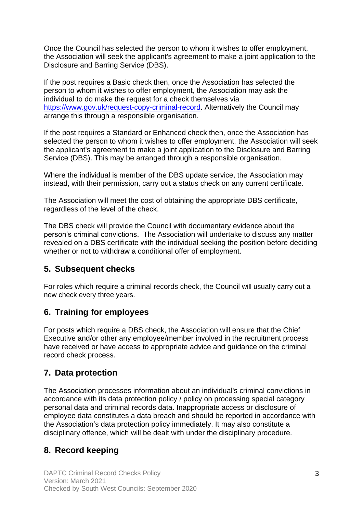Once the Council has selected the person to whom it wishes to offer employment, the Association will seek the applicant's agreement to make a joint application to the Disclosure and Barring Service (DBS).

If the post requires a Basic check then, once the Association has selected the person to whom it wishes to offer employment, the Association may ask the individual to do make the request for a check themselves via [https://www.gov.uk/request-copy-criminal-record.](https://www.gov.uk/request-copy-criminal-record) Alternatively the Council may arrange this through a responsible organisation.

If the post requires a Standard or Enhanced check then, once the Association has selected the person to whom it wishes to offer employment, the Association will seek the applicant's agreement to make a joint application to the Disclosure and Barring Service (DBS). This may be arranged through a responsible organisation.

Where the individual is member of the DBS update service, the Association may instead, with their permission, carry out a status check on any current certificate.

The Association will meet the cost of obtaining the appropriate DBS certificate, regardless of the level of the check.

The DBS check will provide the Council with documentary evidence about the person's criminal convictions. The Association will undertake to discuss any matter revealed on a DBS certificate with the individual seeking the position before deciding whether or not to withdraw a conditional offer of employment.

## **5. Subsequent checks**

For roles which require a criminal records check, the Council will usually carry out a new check every three years.

## **6. Training for employees**

For posts which require a DBS check, the Association will ensure that the Chief Executive and/or other any employee/member involved in the recruitment process have received or have access to appropriate advice and guidance on the criminal record check process.

## **7. Data protection**

The Association processes information about an individual's criminal convictions in accordance with its [data protection policy](https://www.xperthr.co.uk/policies-and-documents/data-protection-policy/162690/) / [policy on processing special category](https://www.xperthr.co.uk/policies-and-documents/policy-on-processing-special-category-personal-data-and-criminal-records-data/163520/)  [personal data and criminal records data.](https://www.xperthr.co.uk/policies-and-documents/policy-on-processing-special-category-personal-data-and-criminal-records-data/163520/) Inappropriate access or disclosure of employee data constitutes a data breach and should be reported in accordance with the Association's data protection policy immediately. It may also constitute a disciplinary offence, which will be dealt with under the disciplinary procedure.

## **8. Record keeping**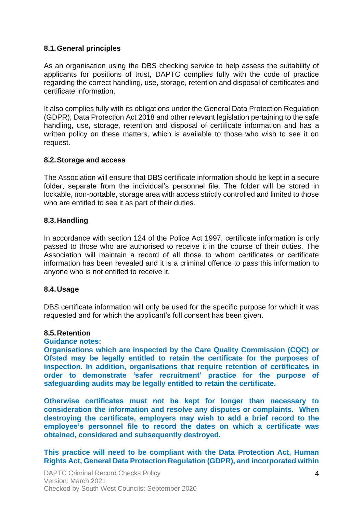### **8.1.General principles**

As an organisation using the DBS checking service to help assess the suitability of applicants for positions of trust, DAPTC complies fully with the code of practice regarding the correct handling, use, storage, retention and disposal of certificates and certificate information.

It also complies fully with its obligations under the General Data Protection Regulation (GDPR), Data Protection Act 2018 and other relevant legislation pertaining to the safe handling, use, storage, retention and disposal of certificate information and has a written policy on these matters, which is available to those who wish to see it on request.

#### **8.2.Storage and access**

The Association will ensure that DBS certificate information should be kept in a secure folder, separate from the individual's personnel file. The folder will be stored in lockable, non-portable, storage area with access strictly controlled and limited to those who are entitled to see it as part of their duties.

#### **8.3.Handling**

In accordance with section 124 of the Police Act 1997, certificate information is only passed to those who are authorised to receive it in the course of their duties. The Association will maintain a record of all those to whom certificates or certificate information has been revealed and it is a criminal offence to pass this information to anyone who is not entitled to receive it.

#### **8.4.Usage**

DBS certificate information will only be used for the specific purpose for which it was requested and for which the applicant's full consent has been given.

#### **8.5.Retention**

#### **Guidance notes:**

**Organisations which are inspected by the Care Quality Commission (CQC) or Ofsted may be legally entitled to retain the certificate for the purposes of inspection. In addition, organisations that require retention of certificates in order to demonstrate 'safer recruitment' practice for the purpose of safeguarding audits may be legally entitled to retain the certificate.** 

**Otherwise certificates must not be kept for longer than necessary to consideration the information and resolve any disputes or complaints. When destroying the certificate, employers may wish to add a brief record to the employee's personnel file to record the dates on which a certificate was obtained, considered and subsequently destroyed.**

**This practice will need to be compliant with the Data Protection Act, Human Rights Act, General Data Protection Regulation (GDPR), and incorporated within**